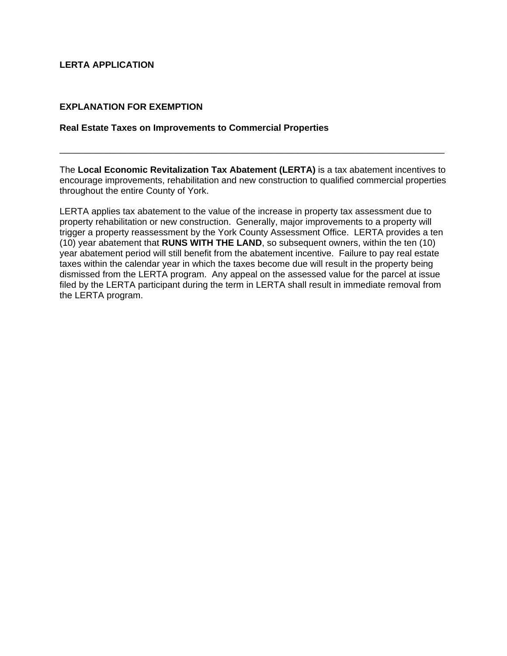## **LERTA APPLICATION**

### **EXPLANATION FOR EXEMPTION**

### **Real Estate Taxes on Improvements to Commercial Properties**

The **Local Economic Revitalization Tax Abatement (LERTA)** is a tax abatement incentives to encourage improvements, rehabilitation and new construction to qualified commercial properties throughout the entire County of York.

\_\_\_\_\_\_\_\_\_\_\_\_\_\_\_\_\_\_\_\_\_\_\_\_\_\_\_\_\_\_\_\_\_\_\_\_\_\_\_\_\_\_\_\_\_\_\_\_\_\_\_\_\_\_\_\_\_\_\_\_\_\_\_\_\_\_\_\_\_\_\_\_\_\_\_\_

LERTA applies tax abatement to the value of the increase in property tax assessment due to property rehabilitation or new construction. Generally, major improvements to a property will trigger a property reassessment by the York County Assessment Office. LERTA provides a ten (10) year abatement that **RUNS WITH THE LAND**, so subsequent owners, within the ten (10) year abatement period will still benefit from the abatement incentive. Failure to pay real estate taxes within the calendar year in which the taxes become due will result in the property being dismissed from the LERTA program. Any appeal on the assessed value for the parcel at issue filed by the LERTA participant during the term in LERTA shall result in immediate removal from the LERTA program.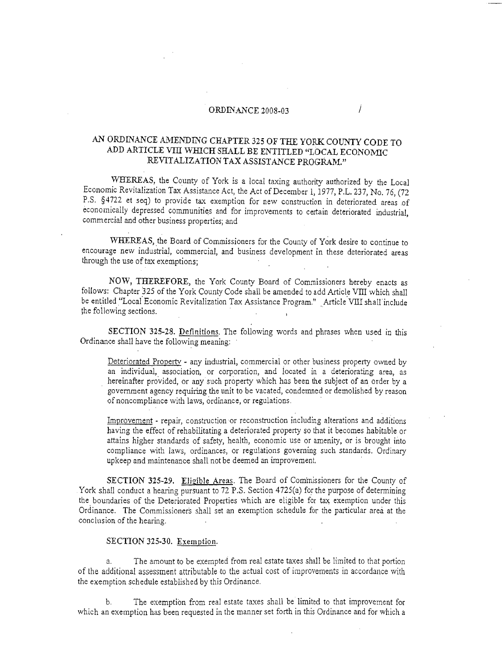## $\overline{\text{ORDINANCE 2008-03}}$

#### AN' ORDINANCE AMENDING CHAPTER 325 OF THE YORK COUNTY CODE TO ADD ARTICLE VIII WHICH SHALL BE ENTITLED "LOCAL ECONOMIC REVITALIZATION TAX ASSISTANCE PROGRAM."

WHEREAS, the County of York is a local taxing authority authorized by the Local Economic Revitalization Tax Assistance Act, the Act of December 1,1977, P.L. 237, No. 76, (72 P.S. §4722 et seq) to provide tax exemption for new construction in deteriorated areas of economically depressed communities and for improvements to certain deteriorated industrial, commercial and other business properties; and

WHEREAS, the Board of Commissioners for the County of York desire to continue to encourage new industrial, commercial, and business development in these deteriorated areas through the use of tax exemptions;

NOW, THEREFORE, the York County Board of Commissioners hereby enacts as follows: Chapter 325 of the York County Code shall be amended to add Article VIII which shall be entitled "Local Economic Revitalization Tax Assistance Program." Article VIII shall include the following sections.

SECTION 325-28. Definitions. The following words and phrases when used in this Ordinance shall have the following meaning:

Deteriorated Property - any industrial, commercial or other business property owned by an individual, association, or corporation, and located in a deteriorating area, as hereinafter provided, or any such property which has been the subject of an order by a government agency requiring the unit to be vacated, condemned or demolished by reason of noncompliance with laws, ordinance, or regulations. .

Improvement - repair, construction or reconstruction including alterations and additions having the effect of rehabilitating a deteriorated property so that it becomes habitable or attains higher standards of safety, health, economic use or amenity, or is brought into compliance with laws, ordinances, or regulations governing such standards. Ordinary upkeep and maintenance shall not be deemed an improvement. '

SECTION 325-29. Eligible Areas. The Board of Commissioners for the County of York shall conduct a hearing pursuant to 72 P.S. Section 4725(a) for the purpose of determining the boundaries of the Deteriorated Properties which are eligible for tax exemption under this Ordinance. The Commissioners shall set an exemption schedule for the particular area at the conclusion of the hearing.

#### SECTION 325-30. Exemption.

a. The amount to be exempted from real estate taxes shall be limited to that portion of the additional assessment attributable to the actual cost of improvements in accordance with the exemption schedule established by this Ordinance.

b. The exemption from real estate taxes shall be limited to that improvement for which an exemption has been requested in the manner set forth in this Ordinance and for which a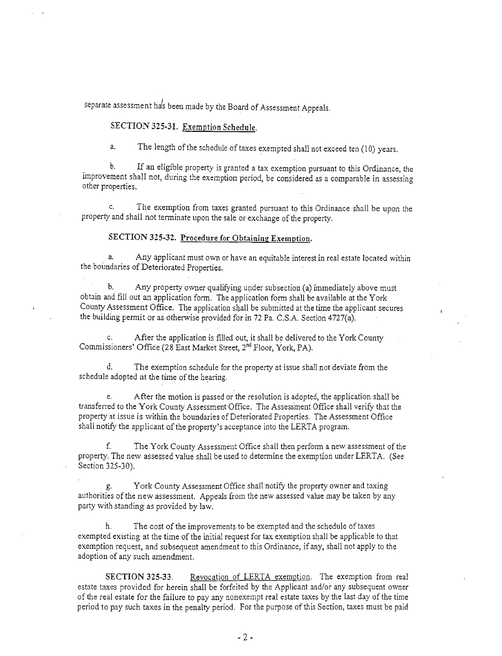separate assessment has been made by the Board of Assessment Appeals.

### SECTION 325-31. Exemption Schedule.

a. The length of the schedule of taxes exempted shall not exceed ten (10) years.

b. If an eligible property is granted a tax exemption pursuant to this Ordinance, the improvement shall not, during the exemption period, be considered as a comparable in assessing other properties.

c. The exemption from taxes granted pursuant to this Ordinance shall be upon the property and shall not terminate upon the sale or exchange of the property.

### SECTION 325-32. Procedure for Obtaining Exemption.

a. Any applicant must own or have an equitable interest in real estate located within the boundaries of Deteriorated Properties.

b. Any property owner qualifying under subsection (a) immediately above must obtain and fill out an application form. The application form shall be available at the York County Assessment Office. The application shall be submitted at the time the applicant secures the building permit or as otherwise provided for in 72 Pa. C.S.A. Section 4727(a).

c. After the application is filled out, it shall be delivered to the York County Commissioners' Office (28 East Market Street, 2<sup>nd</sup> Floor, York, PA).

d. The exemption schedule for the property at issue shall not deviate from the schedule adopted at the time of the hearing.

e. After the motion is passed or the resolution is adopted, the application shall be transferred to the York County Assessment Office. The Assessment Office shall verify that the property at issue is within the boundaries of Deteriorated Properties. The Assessment Office shall notify the applicant of the property's acceptance into the LERTA program.

f. The York County Assessment Office shall then perform a new assessment of the property. The new assessed value shall be used to determine the exemption under LERTA. (See Section 325-30).

g. York County Assessment Office shall notify the property owner and taxing authorities of the new assessment. Appeals from the new assessed value may be taken by any party with standing as provided by law.

h. The cost of the improvements to be exempted and the schedule of taxes exempted existing at the time of the initial request for tax exemption shall be applicable to that exemption request, and subsequent amendment to this Ordinance, if any, shall not apply to the adoption of any such amendment.

SECTION 325-33. Revocation of LERTA exemption. The exemption from real estate taxes provided for herein shall be forfeited by the Applicant and/or any subsequent owner of the real estate for the failure to pay any nonexempt real estate taxes by the last day of the time period to pay such taxes in the penalty period. For the purpose of this Section, taxes must be paid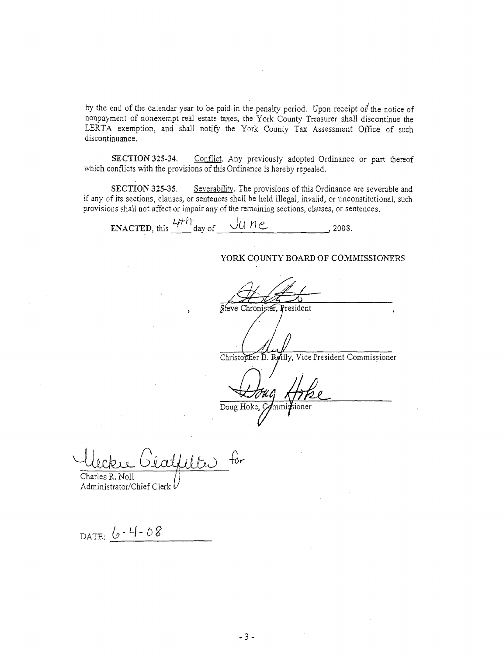by the end of the calendar year to be paid in the penalty period. Upon receipt of the notice of nonpayment of nonexempt real estate taxes, the York County Treasurer shall discontinue the LERTA exemption, and shall notify the York County Tax Assessment Office of such discontinuance.

SECTION 325-34. Conflict. Any previously adopted Ordinance or part thereof which conflicts with the provisions of this Ordinance is hereby repealed.

SECTION 325-35. Severability. The provisions of this Ordinance are severable and if any of its sections, clauses, or sentences shall be held illegal, invalid, or unconstitutional, such provisions shall not affect or impair any of the remaining sections, clauses, or sentences.

ENACTED, this  $\frac{4\pi h}{\text{day of}}$   $\frac{1}{2008}$ ,

### YORK COUNTY BOARD OF COMMISSIONERS

Steve Chronister, President

/

Christopher B. Reilly, Vice President Commissioner

Doug Hoke, Commi sioner

for  $c$ iti $d$ ilte Charles R. Noll

Administrator/Chief Clerk

DATE: <u>6 - 4 - 08</u>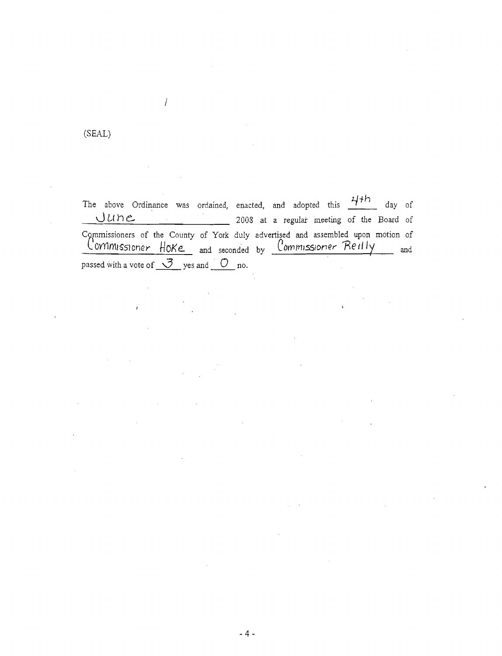# (SEAL)

l.

 $\sqrt{ }$ 

The above Ordinance was ordained, enacted, and adopted this <u>The day</u> of **2008** at a regular meeting of the Board of  $June$ C9~mmissioners of the County of York duly advertised and assembled upon motion of llOYYlmissloner tioKe:. and seconded by CDmmlSSiDner- 'Med **Iy** and passed with a vote of  $\sqrt{2}$  yes and  $\sqrt{2}$  no.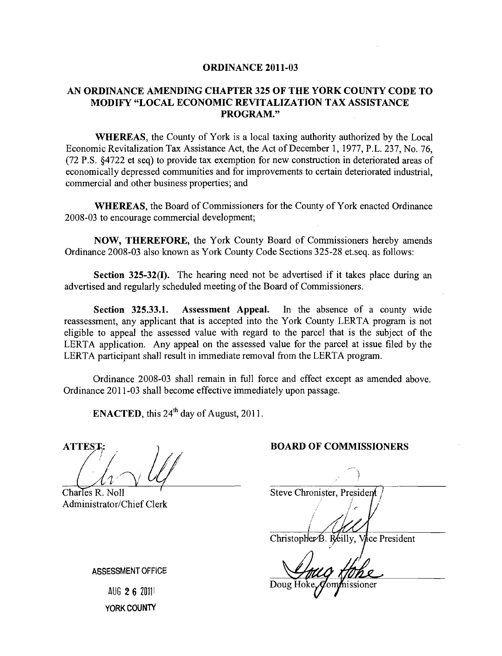### ORDINANCE 2011-03

## AN ORDINANCE AMENDING CHAPTER 325 OF THE YORK COUNTY CODE TO MODIFY "LOCAL ECONOMIC REVITALIZATION TAX ASSISTANCE PROGRAM."

WHEREAS, the County of York is a local taxing authority authorized by the Local Economic Revitalization Tax Assistance Act, the Act of December 1,1977, P.L. 237, No. 76, (72 P.S. §4722 et seq) to provide tax exemption for new construction in deteriorated areas of economically depressed communities and for improvements to certain deteriorated industrial, commercial and other business properties; and

WHEREAS, the Board of Commissioners for the County of York enacted Ordinance 2008-03 to encourage commercial development;

NOW, THEREFORE, the York County Board of Commissioners hereby amends Ordinance 2008-03 also known as York County Code Sections 325-28 et.seq. as follows:

Section 325-32(I). The hearing need not be advertised if it takes place during an advertised and regularly scheduled meeting of the Board of Commissioners.

Section 325.33.1. Assessment Appeal. In the absence of a county wide reassessment, any applicant that is accepted into the York County LERTA program is not eligible to appeal the assessed value with regard to the parcel that is the subject of the LERTA application. Any appeal on the assessed value for the parcel at issue filed by the LERTA participant shall result in immediate removal from the LERTA program.

Ordinance 2008-03 shall remain in full force and effect except as amended above. Ordinance 2011-03 shall become effective immediately upon passage.

ENACTED, this 24<sup>th</sup> day of August, 2011.

**ATTEST** 

Charles R. Noll Administrator/Chief Clerk

#### BOARD OF COMMISSIONERS

Steve Chronister, President Christopher B. Reilly, Vice President

nissioner

ASSESSMENT OFFICE

AUG 26 ZOlll YORK COUNTY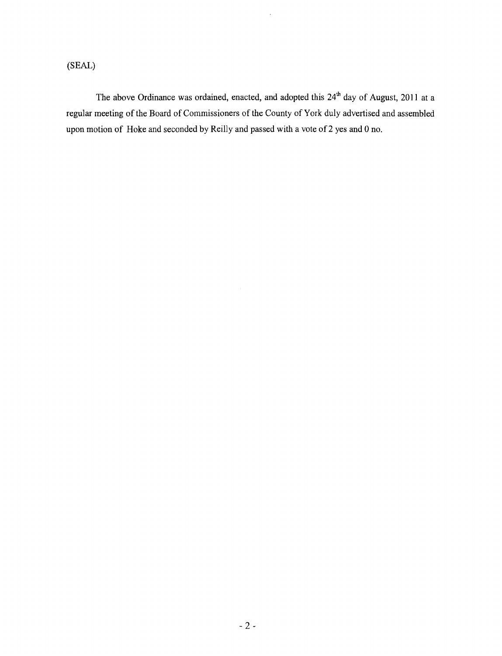# (SEAL)

The above Ordinance was ordained, enacted, and adopted this  $24<sup>th</sup>$  day of August, 2011 at a regular meeting of the Board of Commissioners of the County of York duly advertised and assembled upon motion of Hoke and seconded by Reilly and passed with a vote of 2 yes and 0 no.

 $\mathbb{R}^2$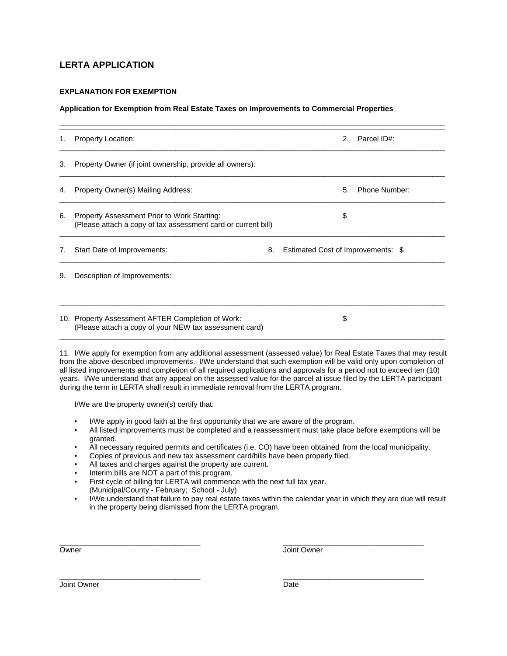## **LERTA APPLICATION**

### **EXPLANATION FOR EXEMPTION**

#### **Application for Exemption from Real Estate Taxes on Improvements to Commercial Properties**

| 1. | <b>Property Location:</b>                                                                                    | 2. Parcel ID#:                     |
|----|--------------------------------------------------------------------------------------------------------------|------------------------------------|
| 3. | Property Owner (if joint ownership, provide all owners):                                                     |                                    |
| 4. | Property Owner(s) Mailing Address:                                                                           | Phone Number:<br>5.                |
| 6. | Property Assessment Prior to Work Starting:<br>(Please attach a copy of tax assessment card or current bill) | \$                                 |
| 7. | Start Date of Improvements:<br>8.                                                                            | Estimated Cost of Improvements: \$ |
| 9. | Description of Improvements:                                                                                 |                                    |
|    | 10. Property Assessment AFTER Completion of Work:<br>(Please attach a copy of your NEW tax assessment card)  | \$                                 |

11. I/We apply for exemption from any additional assessment (assessed value) for Real Estate Taxes that may result from the above-described improvements. I/We understand that such exemption will be valid only upon completion of all listed improvements and completion of all required applications and approvals for a period not to exceed ten (10) years. I/We understand that any appeal on the assessed value for the parcel at issue filed by the LERTA participant during the term in LERTA shall result in immediate removal from the LERTA program.

I/We are the property owner(s) certify that:

- I/We apply in good faith at the first opportunity that we are aware of the program.
- All listed improvements must be completed and a reassessment must take place before exemptions will be granted.
- All necessary required permits and certificates (i.e. CO) have been obtained from the local municipality.
- Copies of previous and new tax assessment card/bills have been properly filed.
- All taxes and charges against the property are current.
- Interim bills are NOT a part of this program.
- First cycle of billing for LERTA will commence with the next full tax year. (Municipal/County - February; School - July)
- I/We understand that failure to pay real estate taxes within the calendar year in which they are due will result in the property being dismissed from the LERTA program.

\_\_\_\_\_\_\_\_\_\_\_\_\_\_\_\_\_\_\_\_\_\_\_\_\_\_\_\_\_\_\_\_\_\_ \_\_\_\_\_\_\_\_\_\_\_\_\_\_\_\_\_\_\_\_\_\_\_\_\_\_\_\_\_\_\_\_\_\_ Owner **Owner** Joint Owner

\_\_\_\_\_\_\_\_\_\_\_\_\_\_\_\_\_\_\_\_\_\_\_\_\_\_\_\_\_\_\_\_\_\_ \_\_\_\_\_\_\_\_\_\_\_\_\_\_\_\_\_\_\_\_\_\_\_\_\_\_\_\_\_\_\_\_\_\_ Joint Owner Date